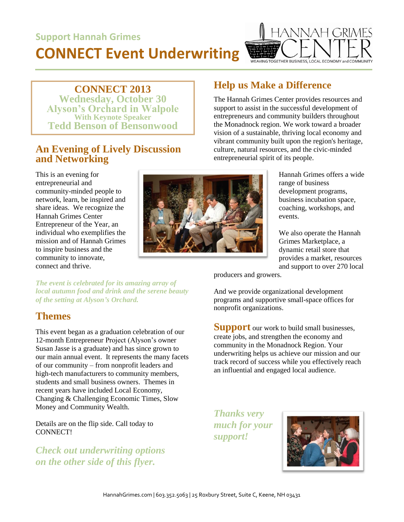# **Support Hannah Grimes**

# **CONNECT Event Underwriting**



**CONNECT 2013**

**Wednesday, October 30 Alyson's Orchard in Walpole With Keynote Speaker Tedd Benson of Bensonwood**

#### **An Evening of Lively Discussion and Networking**

This is an evening for entrepreneurial and community-minded people to network, learn, be inspired and share ideas. We recognize the Hannah Grimes Center Entrepreneur of the Year, an individual who exemplifies the mission and of Hannah Grimes to inspire business and the community to innovate, connect and thrive.

#### **Help us Make a Difference**

The Hannah Grimes Center provides resources and support to assist in the successful development of entrepreneurs and community builders throughout the Monadnock region. We work toward a broader vision of a sustainable, thriving local economy and vibrant community built upon the region's heritage, culture, natural resources, and the civic-minded entrepreneurial spirit of its people.

> Hannah Grimes offers a wide range of business development programs, business incubation space, coaching, workshops, and events.

> We also operate the Hannah Grimes Marketplace, a dynamic retail store that provides a market, resources and support to over 270 local

producers and growers.

And we provide organizational development programs and supportive small-space offices for nonprofit organizations.

**Support** our work to build small businesses, create jobs, and strengthen the economy and community in the Monadnock Region. Your underwriting helps us achieve our mission and our track record of success while you effectively reach an influential and engaged local audience.

*Thanks very much for your support!*



*The event is celebrated for its amazing array of local autumn food and drink and the serene beauty of the setting at Alyson's Orchard.*

## **Themes**

This event began as a graduation celebration of our 12-month Entrepreneur Project (Alyson's owner Susan Jasse is a graduate) and has since grown to our main annual event. It represents the many facets of our community – from nonprofit leaders and high-tech manufacturers to community members, students and small business owners. Themes in recent years have included Local Economy, Changing & Challenging Economic Times, Slow Money and Community Wealth.

Details are on the flip side. Call today to CONNECT!

*Check out underwriting options on the other side of this flyer.*